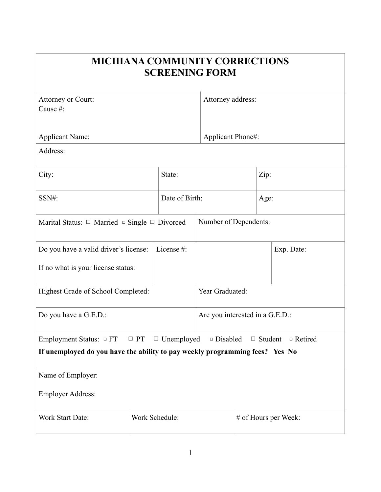| <b>MICHIANA COMMUNITY CORRECTIONS</b><br><b>SCREENING FORM</b>                        |                |                |                                 |                      |                                  |  |  |  |
|---------------------------------------------------------------------------------------|----------------|----------------|---------------------------------|----------------------|----------------------------------|--|--|--|
| Attorney or Court:<br>Cause #:                                                        |                |                | Attorney address:               |                      |                                  |  |  |  |
| <b>Applicant Name:</b>                                                                |                |                | Applicant Phone#:               |                      |                                  |  |  |  |
| Address:                                                                              |                |                |                                 |                      |                                  |  |  |  |
| City:                                                                                 |                | State:         |                                 |                      | Zip:                             |  |  |  |
| SSN#:                                                                                 |                | Date of Birth: |                                 |                      | Age:                             |  |  |  |
| Number of Dependents:<br>Marital Status: $\Box$ Married $\Box$ Single $\Box$ Divorced |                |                |                                 |                      |                                  |  |  |  |
| License #:<br>Do you have a valid driver's license:                                   |                |                |                                 |                      | Exp. Date:                       |  |  |  |
| If no what is your license status:                                                    |                |                |                                 |                      |                                  |  |  |  |
| Highest Grade of School Completed:                                                    |                |                | Year Graduated:                 |                      |                                  |  |  |  |
| Do you have a G.E.D.:                                                                 |                |                | Are you interested in a G.E.D.: |                      |                                  |  |  |  |
| Employment Status: $\Box$ FT $\Box$ PT $\Box$ Unemployed $\Box$ Disabled              |                |                |                                 |                      | $\Box$ Student<br>$\Box$ Retired |  |  |  |
| If unemployed do you have the ability to pay weekly programming fees? Yes No          |                |                |                                 |                      |                                  |  |  |  |
| Name of Employer:                                                                     |                |                |                                 |                      |                                  |  |  |  |
| <b>Employer Address:</b>                                                              |                |                |                                 |                      |                                  |  |  |  |
| Work Start Date:                                                                      | Work Schedule: |                |                                 | # of Hours per Week: |                                  |  |  |  |